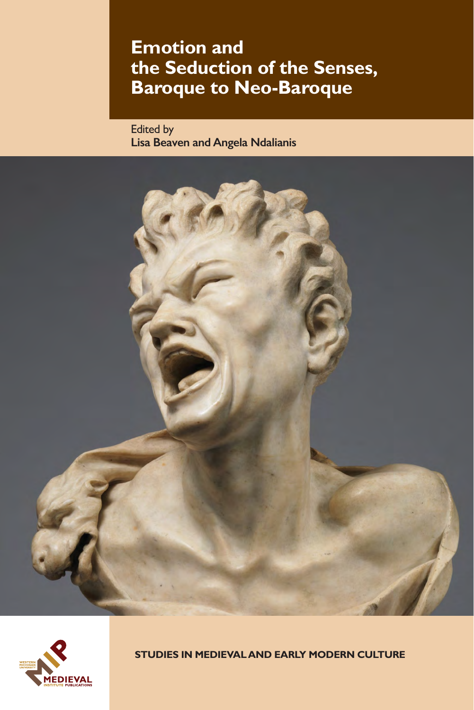# **Emotion and the Seduction of the Senses, Baroque to Neo-Baroque**

Edited by **Lisa Beaven and Angela Ndalianis**





**STUDIES IN MEDIEVAL AND EARLY MODERN CULTURE**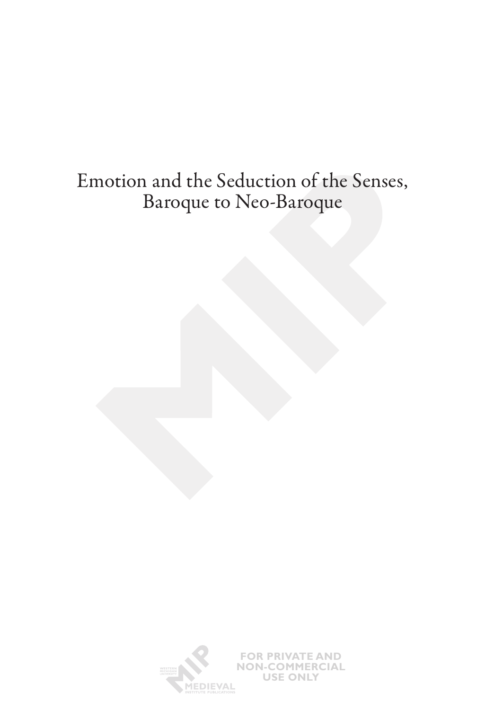# Emotion and the Seduction of the Senses, Baroque to Neo-Baroque

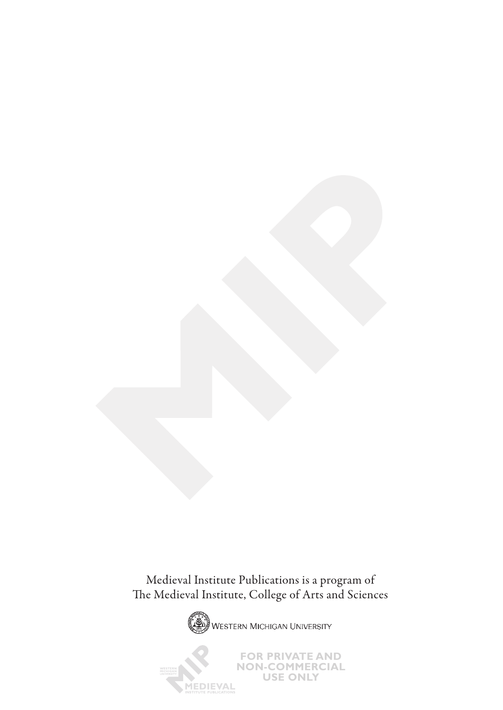Medieval Institute Publications is a program of The Medieval Institute, College of Arts and Sciences



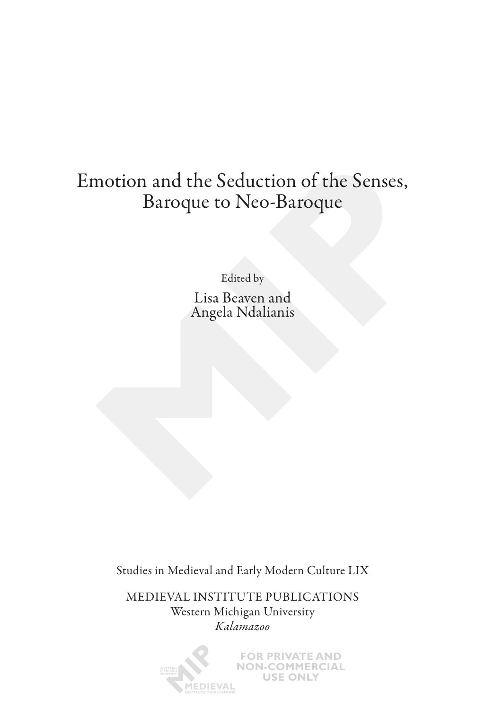# Emotion and the Seduction of the Senses, Baroque to Neo-Baroque

Edited by

Lisa Beaven and Angela Ndalianis

Studies in Medieval and Early Modern Culture LIX

MEDIEVAL INSTITUTE PUBLICATIONS Western Michigan University *Kalamazoo*

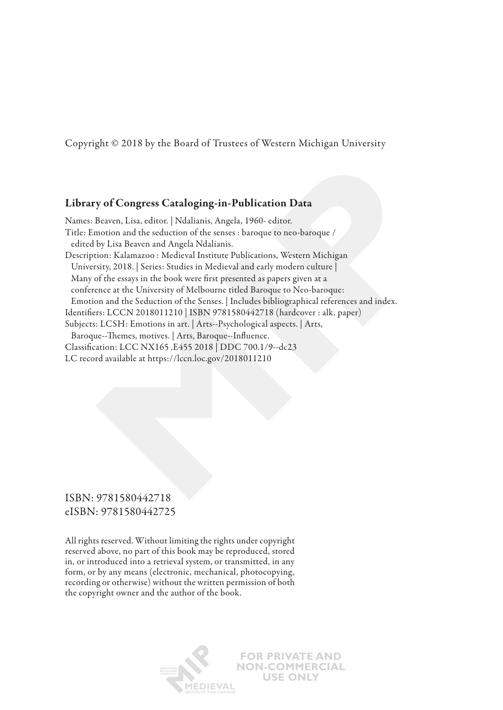Copyright © 2018 by the Board of Trustees of Western Michigan University

### Library of Congress Cataloging-in-Publication Data

Names: Beaven, Lisa, editor. | Ndalianis, Angela, 1960- editor. Title: Emotion and the seduction of the senses : baroque to neo-baroque / edited by Lisa Beaven and Angela Ndalianis. Description: Kalamazoo : Medieval Institute Publications, Western Michigan University, 2018. | Series: Studies in Medieval and early modern culture | Many of the essays in the book were first presented as papers given at a conference at the University of Melbourne titled Baroque to Neo-baroque: Emotion and the Seduction of the Senses. | Includes bibliographical references and index. Identifiers: LCCN 2018011210 | ISBN 9781580442718 (hardcover : alk. paper) Subjects: LCSH: Emotions in art. | Arts--Psychological aspects. | Arts, Baroque--Themes, motives. | Arts, Baroque--Influence. Classification: LCC NX165 .E455 2018 | DDC 700.1/9--dc23 LC record available at https://lccn.loc.gov/2018011210

### ISBN: 9781580442718 eISBN: 9781580442725

All rights reserved. Without limiting the rights under copyright reserved above, no part of this book may be reproduced, stored in, or introduced into a retrieval system, or transmitted, in any form, or by any means (electronic, mechanical, photocopying, recording or otherwise) without the written permission of both the copyright owner and the author of the book.

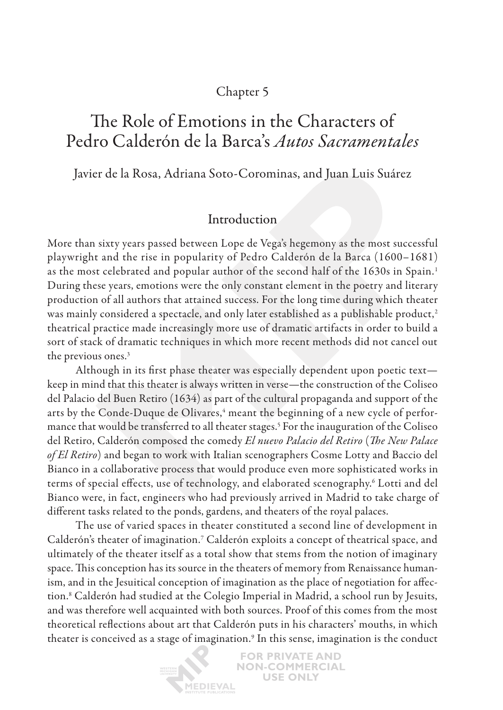# Chapter 5

# The Role of Emotions in the Characters of Pedro Calderón de la Barca's *Autos Sacramentales*

Javier de la Rosa, Adriana Soto-Corominas, and Juan Luis Suárez

# Introduction

More than sixty years passed between Lope de Vega's hegemony as the most successful playwright and the rise in popularity of Pedro Calderón de la Barca (1600–1681) as the most celebrated and popular author of the second half of the 1630s in Spain.<sup>1</sup> During these years, emotions were the only constant element in the poetry and literary production of all authors that attained success. For the long time during which theater was mainly considered a spectacle, and only later established as a publishable product,<sup>2</sup> theatrical practice made increasingly more use of dramatic artifacts in order to build a sort of stack of dramatic techniques in which more recent methods did not cancel out the previous ones.<sup>3</sup>

Although in its first phase theater was especially dependent upon poetic text keep in mind that this theater is always written in verse—the construction of the Coliseo del Palacio del Buen Retiro (1634) as part of the cultural propaganda and support of the arts by the Conde-Duque de Olivares, $^{\rm 4}$  meant the beginning of a new cycle of performance that would be transferred to all theater stages.5 For the inauguration of the Coliseo del Retiro, Calderón composed the comedy *El nuevo Palacio del Retiro* (*The New Palace of El Retiro*) and began to work with Italian scenographers Cosme Lotty and Baccio del Bianco in a collaborative process that would produce even more sophisticated works in terms of special effects, use of technology, and elaborated scenography.6 Lotti and del Bianco were, in fact, engineers who had previously arrived in Madrid to take charge of different tasks related to the ponds, gardens, and theaters of the royal palaces.

The use of varied spaces in theater constituted a second line of development in Calderón's theater of imagination.<sup>7</sup> Calderón exploits a concept of theatrical space, and ultimately of the theater itself as a total show that stems from the notion of imaginary space. This conception has its source in the theaters of memory from Renaissance humanism, and in the Jesuitical conception of imagination as the place of negotiation for affection.8 Calderón had studied at the Colegio Imperial in Madrid, a school run by Jesuits, and was therefore well acquainted with both sources. Proof of this comes from the most theoretical reflections about art that Calderón puts in his characters' mouths, in which theater is conceived as a stage of imagination.<sup>9</sup> In this sense, imagination is the conduct

> **FOR PRIVATE AND NON-COMMERCIAL USE ONLY EDIEVAL**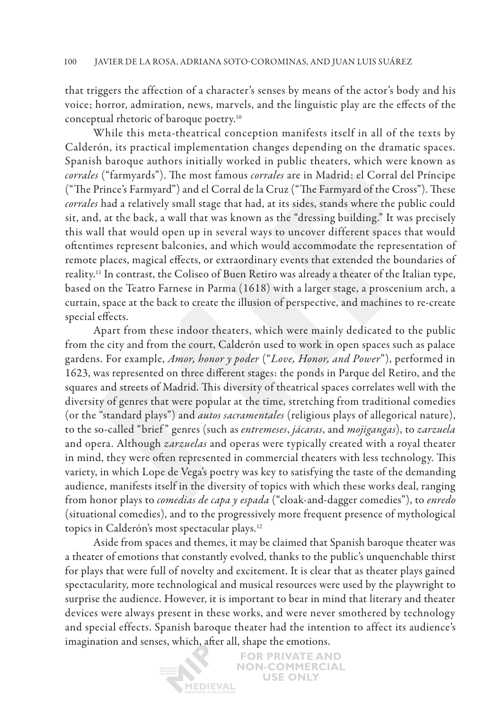that triggers the affection of a character's senses by means of the actor's body and his voice; horror, admiration, news, marvels, and the linguistic play are the effects of the conceptual rhetoric of baroque poetry.10

While this meta-theatrical conception manifests itself in all of the texts by Calderón, its practical implementation changes depending on the dramatic spaces. Spanish baroque authors initially worked in public theaters, which were known as *corrales* ("farmyards"). The most famous *corrales* are in Madrid: el Corral del Príncipe ("The Prince's Farmyard") and el Corral de la Cruz ("The Farmyard of the Cross"). These *corrales* had a relatively small stage that had, at its sides, stands where the public could sit, and, at the back, a wall that was known as the "dressing building." It was precisely this wall that would open up in several ways to uncover different spaces that would oftentimes represent balconies, and which would accommodate the representation of remote places, magical effects, or extraordinary events that extended the boundaries of reality.11 In contrast, the Coliseo of Buen Retiro was already a theater of the Italian type, based on the Teatro Farnese in Parma (1618) with a larger stage, a proscenium arch, a curtain, space at the back to create the illusion of perspective, and machines to re-create special effects.

Apart from these indoor theaters, which were mainly dedicated to the public from the city and from the court, Calderón used to work in open spaces such as palace gardens. For example, *Amor, honor y poder* ("*Love, Honor, and Power*"), performed in 1623, was represented on three different stages: the ponds in Parque del Retiro, and the squares and streets of Madrid. This diversity of theatrical spaces correlates well with the diversity of genres that were popular at the time, stretching from traditional comedies (or the "standard plays") and *autos sacramentales* (religious plays of allegorical nature), to the so-called "brief " genres (such as *entremeses*, *jácaras*, and *mojigangas*), to *zarzuela* and opera. Although *zarzuelas* and operas were typically created with a royal theater in mind, they were often represented in commercial theaters with less technology. This variety, in which Lope de Vega's poetry was key to satisfying the taste of the demanding audience, manifests itself in the diversity of topics with which these works deal, ranging from honor plays to *comedias de capa y espada* ("cloak-and-dagger comedies"), to *enredo* (situational comedies), and to the progressively more frequent presence of mythological topics in Calderón's most spectacular plays.12

Aside from spaces and themes, it may be claimed that Spanish baroque theater was a theater of emotions that constantly evolved, thanks to the public's unquenchable thirst for plays that were full of novelty and excitement. It is clear that as theater plays gained spectacularity, more technological and musical resources were used by the playwright to surprise the audience. However, it is important to bear in mind that literary and theater devices were always present in these works, and were never smothered by technology and special effects. Spanish baroque theater had the intention to affect its audience's imagination and senses, which, after all, shape the emotions.

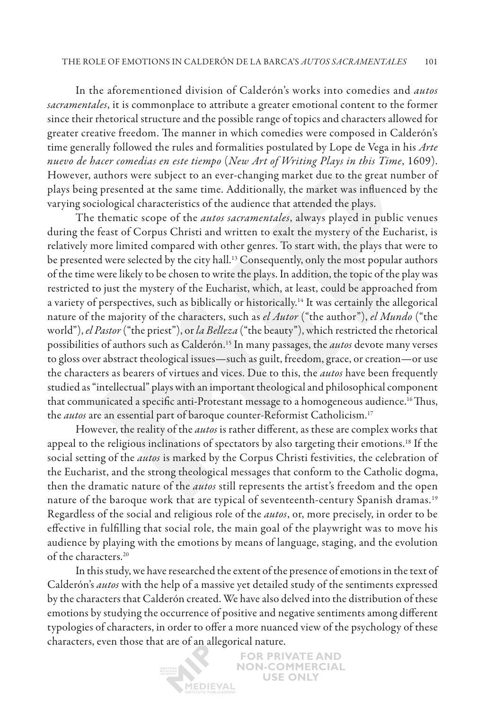In the aforementioned division of Calderón's works into comedies and *autos sacramentales*, it is commonplace to attribute a greater emotional content to the former since their rhetorical structure and the possible range of topics and characters allowed for greater creative freedom. The manner in which comedies were composed in Calderón's time generally followed the rules and formalities postulated by Lope de Vega in his *Arte nuevo de hacer comedias en este tiempo* (*New Art of Writing Plays in this Time*, 1609). However, authors were subject to an ever-changing market due to the great number of plays being presented at the same time. Additionally, the market was influenced by the varying sociological characteristics of the audience that attended the plays.

The thematic scope of the *autos sacramentales*, always played in public venues during the feast of Corpus Christi and written to exalt the mystery of the Eucharist, is relatively more limited compared with other genres. To start with, the plays that were to be presented were selected by the city hall.<sup>13</sup> Consequently, only the most popular authors of the time were likely to be chosen to write the plays. In addition, the topic of the play was restricted to just the mystery of the Eucharist, which, at least, could be approached from a variety of perspectives, such as biblically or historically.14 It was certainly the allegorical nature of the majority of the characters, such as *el Autor* ("the author"), *el Mundo* ("the world"), *el Pastor* ("the priest"), or *la Belleza* ("the beauty"), which restricted the rhetorical possibilities of authors such as Calderón.15 In many passages, the *autos* devote many verses to gloss over abstract theological issues—such as guilt, freedom, grace, or creation—or use the characters as bearers of virtues and vices. Due to this, the *autos* have been frequently studied as "intellectual" plays with an important theological and philosophical component that communicated a specific anti-Protestant message to a homogeneous audience.16Thus, the *autos* are an essential part of baroque counter-Reformist Catholicism.<sup>17</sup>

However, the reality of the *autos* is rather different, as these are complex works that appeal to the religious inclinations of spectators by also targeting their emotions.18 If the social setting of the *autos* is marked by the Corpus Christi festivities, the celebration of the Eucharist, and the strong theological messages that conform to the Catholic dogma, then the dramatic nature of the *autos* still represents the artist's freedom and the open nature of the baroque work that are typical of seventeenth-century Spanish dramas.19 Regardless of the social and religious role of the *autos*, or, more precisely, in order to be effective in fulfilling that social role, the main goal of the playwright was to move his audience by playing with the emotions by means of language, staging, and the evolution of the characters.<sup>20</sup>

In this study, we have researched the extent of the presence of emotions in the text of Calderón's *autos* with the help of a massive yet detailed study of the sentiments expressed by the characters that Calderón created. We have also delved into the distribution of these emotions by studying the occurrence of positive and negative sentiments among different typologies of characters, in order to offer a more nuanced view of the psychology of these characters, even those that are of an allegorical nature.

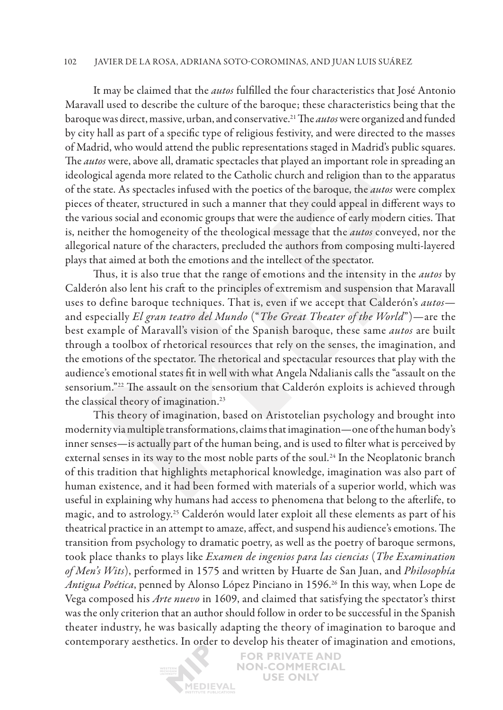#### 102 Javier de la Rosa, Adriana Soto-Corominas , and Juan Luis Suárez

It may be claimed that the *autos* fulfilled the four characteristics that José Antonio Maravall used to describe the culture of the baroque; these characteristics being that the baroque was direct, massive, urban, and conservative.21 The *autos* were organized and funded by city hall as part of a specific type of religious festivity, and were directed to the masses of Madrid, who would attend the public representations staged in Madrid's public squares. The *autos* were, above all, dramatic spectacles that played an important role in spreading an ideological agenda more related to the Catholic church and religion than to the apparatus of the state. As spectacles infused with the poetics of the baroque, the *autos* were complex pieces of theater, structured in such a manner that they could appeal in different ways to the various social and economic groups that were the audience of early modern cities. That is, neither the homogeneity of the theological message that the *autos* conveyed, nor the allegorical nature of the characters, precluded the authors from composing multi-layered plays that aimed at both the emotions and the intellect of the spectator.

Thus, it is also true that the range of emotions and the intensity in the *autos* by Calderón also lent his craft to the principles of extremism and suspension that Maravall uses to define baroque techniques. That is, even if we accept that Calderón's *autos* and especially *El gran teatro del Mundo* ("*The Great Theater of the World*")—are the best example of Maravall's vision of the Spanish baroque, these same *autos* are built through a toolbox of rhetorical resources that rely on the senses, the imagination, and the emotions of the spectator. The rhetorical and spectacular resources that play with the audience's emotional states fit in well with what Angela Ndalianis calls the "assault on the sensorium."22 The assault on the sensorium that Calderón exploits is achieved through the classical theory of imagination.23

This theory of imagination, based on Aristotelian psychology and brought into modernity via multiple transformations, claims that imagination—one of the human body's inner senses—is actually part of the human being, and is used to filter what is perceived by external senses in its way to the most noble parts of the soul.<sup>24</sup> In the Neoplatonic branch of this tradition that highlights metaphorical knowledge, imagination was also part of human existence, and it had been formed with materials of a superior world, which was useful in explaining why humans had access to phenomena that belong to the afterlife, to magic, and to astrology.25 Calderón would later exploit all these elements as part of his theatrical practice in an attempt to amaze, affect, and suspend his audience's emotions. The transition from psychology to dramatic poetry, as well as the poetry of baroque sermons, took place thanks to plays like *Examen de ingenios para las ciencias* (*The Examination of Men's Wits*), performed in 1575 and written by Huarte de San Juan, and *Philosophía Antigua Poética*, penned by Alonso López Pinciano in 1596.26 In this way, when Lope de Vega composed his *Arte nuevo* in 1609, and claimed that satisfying the spectator's thirst was the only criterion that an author should follow in order to be successful in the Spanish theater industry, he was basically adapting the theory of imagination to baroque and contemporary aesthetics. In order to develop his theater of imagination and emotions,

> **FOR PRIVATE AND NON-COMMERCIAL USE ONLY** MEDIEVAL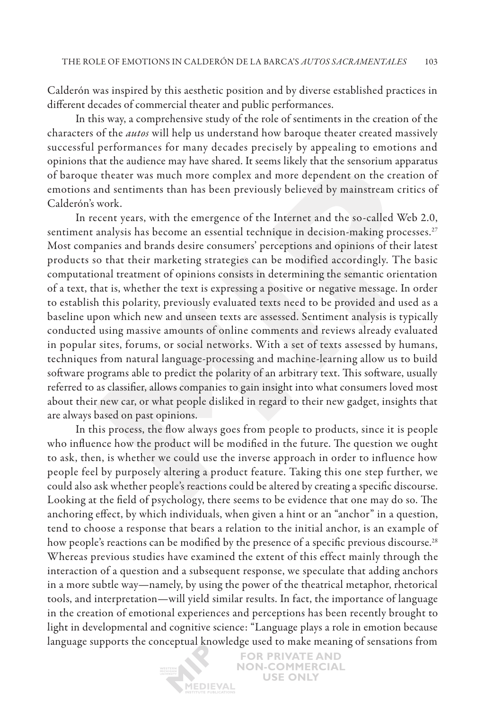Calderón was inspired by this aesthetic position and by diverse established practices in different decades of commercial theater and public performances.

In this way, a comprehensive study of the role of sentiments in the creation of the characters of the *autos* will help us understand how baroque theater created massively successful performances for many decades precisely by appealing to emotions and opinions that the audience may have shared. It seems likely that the sensorium apparatus of baroque theater was much more complex and more dependent on the creation of emotions and sentiments than has been previously believed by mainstream critics of Calderón's work.

In recent years, with the emergence of the Internet and the so-called Web 2.0, sentiment analysis has become an essential technique in decision-making processes.<sup>27</sup> Most companies and brands desire consumers' perceptions and opinions of their latest products so that their marketing strategies can be modified accordingly. The basic computational treatment of opinions consists in determining the semantic orientation of a text, that is, whether the text is expressing a positive or negative message. In order to establish this polarity, previously evaluated texts need to be provided and used as a baseline upon which new and unseen texts are assessed. Sentiment analysis is typically conducted using massive amounts of online comments and reviews already evaluated in popular sites, forums, or social networks. With a set of texts assessed by humans, techniques from natural language-processing and machine-learning allow us to build software programs able to predict the polarity of an arbitrary text. This software, usually referred to as classifier, allows companies to gain insight into what consumers loved most about their new car, or what people disliked in regard to their new gadget, insights that are always based on past opinions.

In this process, the flow always goes from people to products, since it is people who influence how the product will be modified in the future. The question we ought to ask, then, is whether we could use the inverse approach in order to influence how people feel by purposely altering a product feature. Taking this one step further, we could also ask whether people's reactions could be altered by creating a specific discourse. Looking at the field of psychology, there seems to be evidence that one may do so. The anchoring effect, by which individuals, when given a hint or an "anchor" in a question, tend to choose a response that bears a relation to the initial anchor, is an example of how people's reactions can be modified by the presence of a specific previous discourse.<sup>28</sup> Whereas previous studies have examined the extent of this effect mainly through the interaction of a question and a subsequent response, we speculate that adding anchors in a more subtle way—namely, by using the power of the theatrical metaphor, rhetorical tools, and interpretation—will yield similar results. In fact, the importance of language in the creation of emotional experiences and perceptions has been recently brought to light in developmental and cognitive science: "Language plays a role in emotion because language supports the conceptual knowledge used to make meaning of sensations from

> **FOR PRIVATE AND NON-COMMERCIAL USE ONLY** MEDIEVAL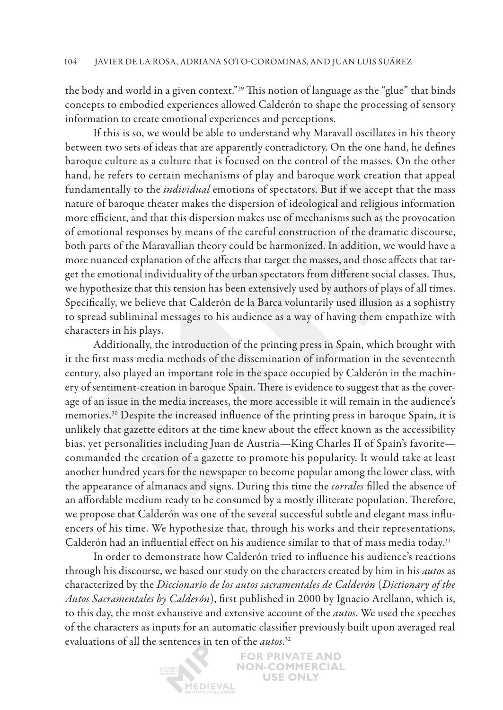the body and world in a given context."29 This notion of language as the "glue" that binds concepts to embodied experiences allowed Calderón to shape the processing of sensory information to create emotional experiences and perceptions.

If this is so, we would be able to understand why Maravall oscillates in his theory between two sets of ideas that are apparently contradictory. On the one hand, he defines baroque culture as a culture that is focused on the control of the masses. On the other hand, he refers to certain mechanisms of play and baroque work creation that appeal fundamentally to the *individual* emotions of spectators. But if we accept that the mass nature of baroque theater makes the dispersion of ideological and religious information more efficient, and that this dispersion makes use of mechanisms such as the provocation of emotional responses by means of the careful construction of the dramatic discourse, both parts of the Maravallian theory could be harmonized. In addition, we would have a more nuanced explanation of the affects that target the masses, and those affects that target the emotional individuality of the urban spectators from different social classes. Thus, we hypothesize that this tension has been extensively used by authors of plays of all times. Specifically, we believe that Calderón de la Barca voluntarily used illusion as a sophistry to spread subliminal messages to his audience as a way of having them empathize with characters in his plays.

Additionally, the introduction of the printing press in Spain, which brought with it the first mass media methods of the dissemination of information in the seventeenth century, also played an important role in the space occupied by Calderón in the machinery of sentiment-creation in baroque Spain. There is evidence to suggest that as the coverage of an issue in the media increases, the more accessible it will remain in the audience's memories.30 Despite the increased influence of the printing press in baroque Spain, it is unlikely that gazette editors at the time knew about the effect known as the accessibility bias, yet personalities including Juan de Austria—King Charles II of Spain's favorite commanded the creation of a gazette to promote his popularity. It would take at least another hundred years for the newspaper to become popular among the lower class, with the appearance of almanacs and signs. During this time the *corrales* filled the absence of an affordable medium ready to be consumed by a mostly illiterate population. Therefore, we propose that Calderón was one of the several successful subtle and elegant mass influencers of his time. We hypothesize that, through his works and their representations, Calderón had an influential effect on his audience similar to that of mass media today.<sup>31</sup>

In order to demonstrate how Calderón tried to influence his audience's reactions through his discourse, we based our study on the characters created by him in his *autos* as characterized by the *Diccionario de los autos sacramentales de Calderón* (*Dictionary of the Autos Sacramentales by Calderón*), first published in 2000 by Ignacio Arellano, which is, to this day, the most exhaustive and extensive account of the *autos*. We used the speeches of the characters as inputs for an automatic classifier previously built upon averaged real evaluations of all the sentences in ten of the *autos*. 32

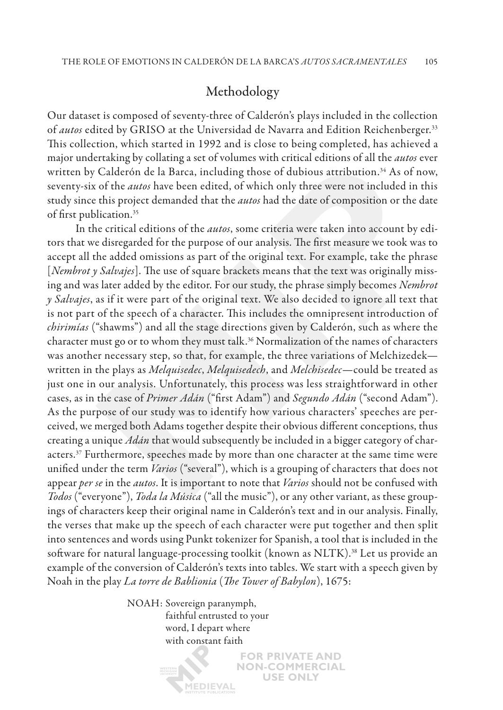## Methodology

Our dataset is composed of seventy-three of Calderón's plays included in the collection of *autos* edited by GRISO at the Universidad de Navarra and Edition Reichenberger.<sup>33</sup> This collection, which started in 1992 and is close to being completed, has achieved a major undertaking by collating a set of volumes with critical editions of all the *autos* ever written by Calderón de la Barca, including those of dubious attribution.<sup>34</sup> As of now, seventy-six of the *autos* have been edited, of which only three were not included in this study since this project demanded that the *autos* had the date of composition or the date of first publication.35

In the critical editions of the *autos*, some criteria were taken into account by editors that we disregarded for the purpose of our analysis. The first measure we took was to accept all the added omissions as part of the original text. For example, take the phrase [*Nembrot y Salvajes*]. The use of square brackets means that the text was originally missing and was later added by the editor. For our study, the phrase simply becomes *Nembrot y Salvajes*, as if it were part of the original text. We also decided to ignore all text that is not part of the speech of a character. This includes the omnipresent introduction of *chirimías* ("shawms") and all the stage directions given by Calderón, such as where the character must go or to whom they must talk.<sup>36</sup> Normalization of the names of characters was another necessary step, so that, for example, the three variations of Melchizedek written in the plays as *Melquisedec*, *Melquisedech*, and *Melchisedec*—could be treated as just one in our analysis. Unfortunately, this process was less straightforward in other cases, as in the case of *Primer Adán* ("first Adam") and *Segundo Adán* ("second Adam"). As the purpose of our study was to identify how various characters' speeches are perceived, we merged both Adams together despite their obvious different conceptions, thus creating a unique *Adán* that would subsequently be included in a bigger category of characters.37 Furthermore, speeches made by more than one character at the same time were unified under the term *Varios* ("several"), which is a grouping of characters that does not appear *per se* in the *autos*. It is important to note that *Varios* should not be confused with *Todos* ("everyone"), *Toda la Música* ("all the music"), or any other variant, as these groupings of characters keep their original name in Calderón's text and in our analysis. Finally, the verses that make up the speech of each character were put together and then split into sentences and words using Punkt tokenizer for Spanish, a tool that is included in the software for natural language-processing toolkit (known as NLTK).38 Let us provide an example of the conversion of Calderón's texts into tables. We start with a speech given by Noah in the play *La torre de Bablionia* (*The Tower of Babylon*), 1675:

> **FOR PRIVATE AND NON-COMMERCIAL USE ONLY**

NOAH: Sovereign paranymph, faithful entrusted to your word, I depart where with constant faith

**ÍEDIEVAL**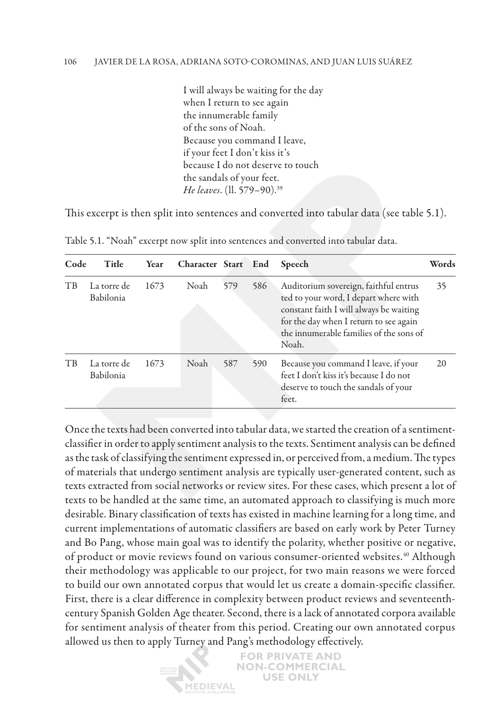I will always be waiting for the day when I return to see again the innumerable family of the sons of Noah. Because you command I leave, if your feet I don't kiss it's because I do not deserve to touch the sandals of your feet. *He leaves*. (ll. 579–90).39

This excerpt is then split into sentences and converted into tabular data (see table 5.1).

| Code           | Title                    | Year | Character Start End |     |     | Speech                                                                                                                                                                                                                  | Words |
|----------------|--------------------------|------|---------------------|-----|-----|-------------------------------------------------------------------------------------------------------------------------------------------------------------------------------------------------------------------------|-------|
| T <sub>B</sub> | La torre de<br>Babilonia | 1673 | Noah                | 579 | 586 | Auditorium sovereign, faithful entrus<br>ted to your word, I depart where with<br>constant faith I will always be waiting<br>for the day when I return to see again<br>the innumerable families of the sons of<br>Noah. | 35    |
| T <sub>B</sub> | La torre de<br>Babilonia | 1673 | Noah                | 587 | 590 | Because you command I leave, if your<br>feet I don't kiss it's because I do not<br>deserve to touch the sandals of your<br>feet.                                                                                        | 20    |

Table 5.1. "Noah" excerpt now split into sentences and converted into tabular data.

Once the texts had been converted into tabular data, we started the creation of a sentimentclassifier in order to apply sentiment analysis to the texts. Sentiment analysis can be defined as the task of classifying the sentiment expressed in, or perceived from, a medium. The types of materials that undergo sentiment analysis are typically user-generated content, such as texts extracted from social networks or review sites. For these cases, which present a lot of texts to be handled at the same time, an automated approach to classifying is much more desirable. Binary classification of texts has existed in machine learning for a long time, and current implementations of automatic classifiers are based on early work by Peter Turney and Bo Pang, whose main goal was to identify the polarity, whether positive or negative, of product or movie reviews found on various consumer-oriented websites.<sup>40</sup> Although their methodology was applicable to our project, for two main reasons we were forced to build our own annotated corpus that would let us create a domain-specific classifier. First, there is a clear difference in complexity between product reviews and seventeenthcentury Spanish Golden Age theater. Second, there is a lack of annotated corpora available for sentiment analysis of theater from this period. Creating our own annotated corpus allowed us then to apply Turney and Pang's methodology effectively.

> **FOR PRIVATE AND NON-COMMERCIAL USE ONLY İEDIEVAL**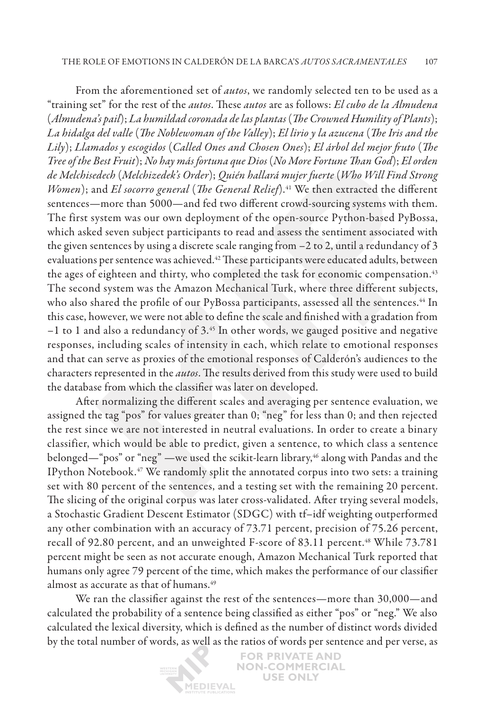From the aforementioned set of *autos*, we randomly selected ten to be used as a "training set" for the rest of the *autos*. These *autos* are as follows: *El cubo de la Almudena* (*Almudena's pail*); *La humildad coronada de las plantas* (*The Crowned Humility of Plants*); *La hidalga del valle* (*The Noblewoman of the Valley*); *El lirio y la azucena* (*The Iris and the Lily*); *Llamados y escogidos* (*Called Ones and Chosen Ones*); *El árbol del mejor fruto* (*The Tree of the Best Fruit*); *No hay más fortuna que Dios* (*No More Fortune Than God*); *El orden de Melchisedech* (*Melchizedek's Order*); *Quién hallará mujer fuerte* (*Who Will Find Strong Women*); and *El socorro general* (*The General Relief*).<sup>41</sup> We then extracted the different sentences—more than 5000—and fed two different crowd-sourcing systems with them. The first system was our own deployment of the open-source Python-based PyBossa, which asked seven subject participants to read and assess the sentiment associated with the given sentences by using a discrete scale ranging from –2 to 2, until a redundancy of 3 evaluations per sentence was achieved.<sup>42</sup> These participants were educated adults, between the ages of eighteen and thirty, who completed the task for economic compensation.43 The second system was the Amazon Mechanical Turk, where three different subjects, who also shared the profile of our PyBossa participants, assessed all the sentences.<sup>44</sup> In this case, however, we were not able to define the scale and finished with a gradation from  $-1$  to 1 and also a redundancy of 3.<sup>45</sup> In other words, we gauged positive and negative responses, including scales of intensity in each, which relate to emotional responses and that can serve as proxies of the emotional responses of Calderón's audiences to the characters represented in the *autos*. The results derived from this study were used to build the database from which the classifier was later on developed.

After normalizing the different scales and averaging per sentence evaluation, we assigned the tag "pos" for values greater than 0; "neg" for less than 0; and then rejected the rest since we are not interested in neutral evaluations. In order to create a binary classifier, which would be able to predict, given a sentence, to which class a sentence belonged—"pos" or "neg" —we used the scikit-learn library,<sup>46</sup> along with Pandas and the IPython Notebook.47 We randomly split the annotated corpus into two sets: a training set with 80 percent of the sentences, and a testing set with the remaining 20 percent. The slicing of the original corpus was later cross-validated. After trying several models, a Stochastic Gradient Descent Estimator (SDGC) with tf–idf weighting outperformed any other combination with an accuracy of 73.71 percent, precision of 75.26 percent, recall of 92.80 percent, and an unweighted F-score of 83.11 percent.<sup>48</sup> While 73.781 percent might be seen as not accurate enough, Amazon Mechanical Turk reported that humans only agree 79 percent of the time, which makes the performance of our classifier almost as accurate as that of humans.49

We ran the classifier against the rest of the sentences—more than 30,000—and calculated the probability of a sentence being classified as either "pos" or "neg." We also calculated the lexical diversity, which is defined as the number of distinct words divided by the total number of words, as well as the ratios of words per sentence and per verse, as

> **FOR PRIVATE AND NON-COMMERCIAL USE ONLY** MEDIEVAL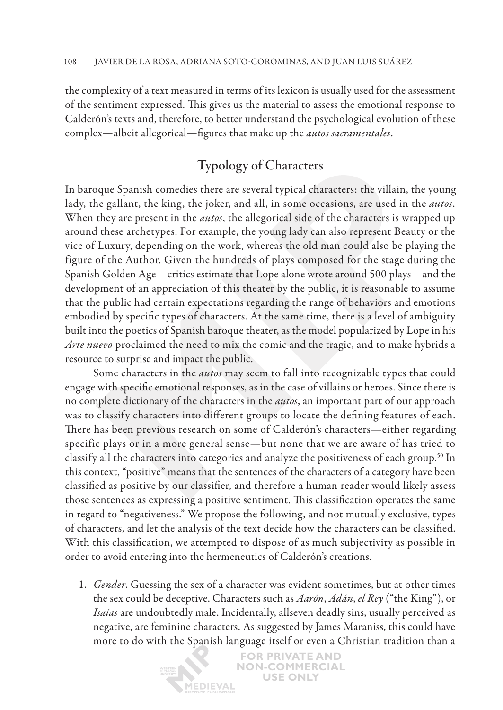the complexity of a text measured in terms of its lexicon is usually used for the assessment of the sentiment expressed. This gives us the material to assess the emotional response to Calderón's texts and, therefore, to better understand the psychological evolution of these complex—albeit allegorical—figures that make up the *autos sacramentales*.

# Typology of Characters

In baroque Spanish comedies there are several typical characters: the villain, the young lady, the gallant, the king, the joker, and all, in some occasions, are used in the *autos*. When they are present in the *autos*, the allegorical side of the characters is wrapped up around these archetypes. For example, the young lady can also represent Beauty or the vice of Luxury, depending on the work, whereas the old man could also be playing the figure of the Author. Given the hundreds of plays composed for the stage during the Spanish Golden Age—critics estimate that Lope alone wrote around 500 plays—and the development of an appreciation of this theater by the public, it is reasonable to assume that the public had certain expectations regarding the range of behaviors and emotions embodied by specific types of characters. At the same time, there is a level of ambiguity built into the poetics of Spanish baroque theater, as the model popularized by Lope in his *Arte nuevo* proclaimed the need to mix the comic and the tragic, and to make hybrids a resource to surprise and impact the public.

Some characters in the *autos* may seem to fall into recognizable types that could engage with specific emotional responses, as in the case of villains or heroes. Since there is no complete dictionary of the characters in the *autos*, an important part of our approach was to classify characters into different groups to locate the defining features of each. There has been previous research on some of Calderón's characters—either regarding specific plays or in a more general sense—but none that we are aware of has tried to classify all the characters into categories and analyze the positiveness of each group.<sup>50</sup> In this context, "positive" means that the sentences of the characters of a category have been classified as positive by our classifier, and therefore a human reader would likely assess those sentences as expressing a positive sentiment. This classification operates the same in regard to "negativeness." We propose the following, and not mutually exclusive, types of characters, and let the analysis of the text decide how the characters can be classified. With this classification, we attempted to dispose of as much subjectivity as possible in order to avoid entering into the hermeneutics of Calderón's creations.

1. *Gender*. Guessing the sex of a character was evident sometimes, but at other times the sex could be deceptive. Characters such as *Aarón*, *Adán*, *el Rey* ("the King"), or *Isaías* are undoubtedly male. Incidentally, allseven deadly sins, usually perceived as negative, are feminine characters. As suggested by James Maraniss, this could have more to do with the Spanish language itself or even a Christian tradition than a

**ÍEDIEVAL** 

**FOR PRIVATE AND NON-COMMERCIAL USE ONLY**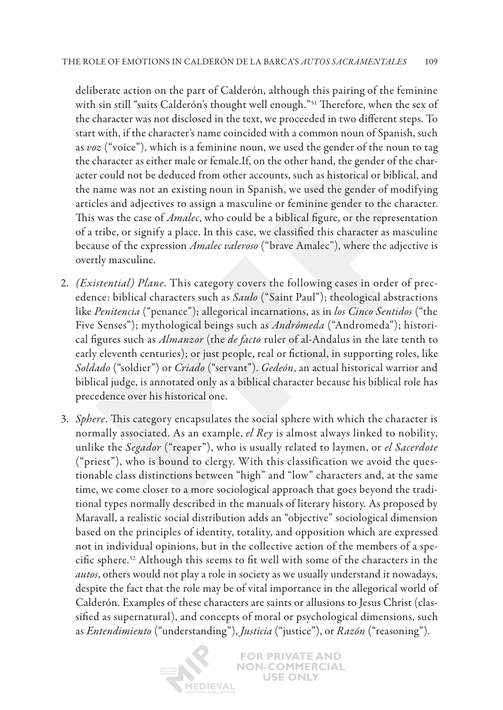deliberate action on the part of Calderón, although this pairing of the feminine with sin still "suits Calderón's thought well enough."51 Therefore, when the sex of the character was not disclosed in the text, we proceeded in two different steps. To start with, if the character's name coincided with a common noun of Spanish, such as *voz* ("voice"), which is a feminine noun, we used the gender of the noun to tag the character as either male or female.If, on the other hand, the gender of the character could not be deduced from other accounts, such as historical or biblical, and the name was not an existing noun in Spanish, we used the gender of modifying articles and adjectives to assign a masculine or feminine gender to the character. This was the case of *Amalec*, who could be a biblical figure, or the representation of a tribe, or signify a place. In this case, we classified this character as masculine because of the expression *Amalec valeroso* ("brave Amalec"), where the adjective is overtly masculine.

- 2. *(Existential) Plane*. This category covers the following cases in order of precedence: biblical characters such as *Saulo* ("Saint Paul"); theological abstractions like *Penitencia* ("penance"); allegorical incarnations, as in *los Cinco Sentidos* ("the Five Senses"); mythological beings such as *Andrómeda* ("Andromeda"); historical figures such as *Almanzor* (the *de facto* ruler of al-Andalus in the late tenth to early eleventh centuries); or just people, real or fictional, in supporting roles, like *Soldado* ("soldier") or *Criado* ("servant"). *Gedeón*, an actual historical warrior and biblical judge, is annotated only as a biblical character because his biblical role has precedence over his historical one.
- 3. *Sphere*. This category encapsulates the social sphere with which the character is normally associated. As an example, *el Rey* is almost always linked to nobility, unlike the *Segador* ("reaper"), who is usually related to laymen, or *el Sacerdote* ("priest"), who is bound to clergy. With this classification we avoid the questionable class distinctions between "high" and "low" characters and, at the same time, we come closer to a more sociological approach that goes beyond the traditional types normally described in the manuals of literary history. As proposed by Maravall, a realistic social distribution adds an "objective" sociological dimension based on the principles of identity, totality, and opposition which are expressed not in individual opinions, but in the collective action of the members of a specific sphere.52 Although this seems to fit well with some of the characters in the *autos*, others would not play a role in society as we usually understand it nowadays, despite the fact that the role may be of vital importance in the allegorical world of Calderón. Examples of these characters are saints or allusions to Jesus Christ (classified as supernatural), and concepts of moral or psychological dimensions, such as *Entendimiento* ("understanding"), *Justicia* ("justice"), or *Razón* ("reasoning").

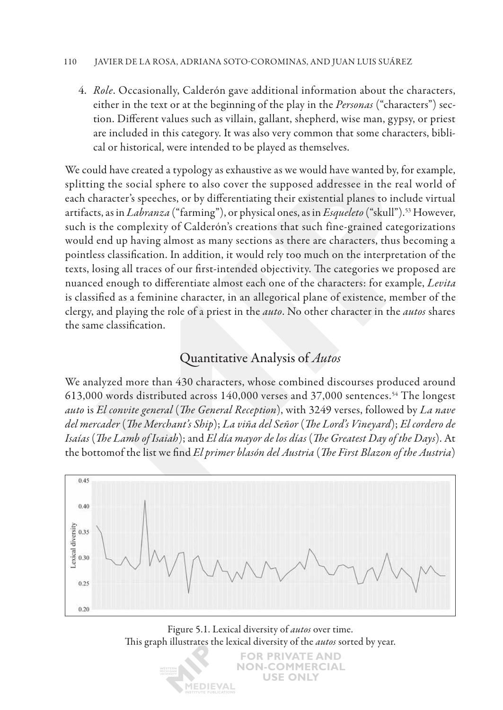### 110 Javier de la Rosa, Adriana Soto-Corominas , and Juan Luis Suárez

4. *Role*. Occasionally, Calderón gave additional information about the characters, either in the text or at the beginning of the play in the *Personas* ("characters") section. Different values such as villain, gallant, shepherd, wise man, gypsy, or priest are included in this category. It was also very common that some characters, biblical or historical, were intended to be played as themselves.

We could have created a typology as exhaustive as we would have wanted by, for example, splitting the social sphere to also cover the supposed addressee in the real world of each character's speeches, or by differentiating their existential planes to include virtual artifacts, as in *Labranza* ("farming"), or physical ones, as in *Esqueleto* ("skull").53 However, such is the complexity of Calderón's creations that such fine-grained categorizations would end up having almost as many sections as there are characters, thus becoming a pointless classification. In addition, it would rely too much on the interpretation of the texts, losing all traces of our first-intended objectivity. The categories we proposed are nuanced enough to differentiate almost each one of the characters: for example, *Levita* is classified as a feminine character, in an allegorical plane of existence, member of the clergy, and playing the role of a priest in the *auto*. No other character in the *autos* shares the same classification.

# Quantitative Analysis of *Autos*

We analyzed more than 430 characters, whose combined discourses produced around 613,000 words distributed across 140,000 verses and 37,000 sentences.54 The longest *auto* is *El convite general* (*The General Reception*), with 3249 verses, followed by *La nave del mercader* (*The Merchant's Ship*); *La viña del Señor* (*The Lord's Vineyard*); *El cordero de Isaías* (*The Lamb of Isaiah*); and *El día mayor de los días* (*The Greatest Day of the Days*). At the bottomof the list we find *El primer blasón del Austria* (*The First Blazon of the Austria*)



Figure 5.1. Lexical diversity of *autos* over time. This graph illustrates the lexical diversity of the *autos* sorted by year.

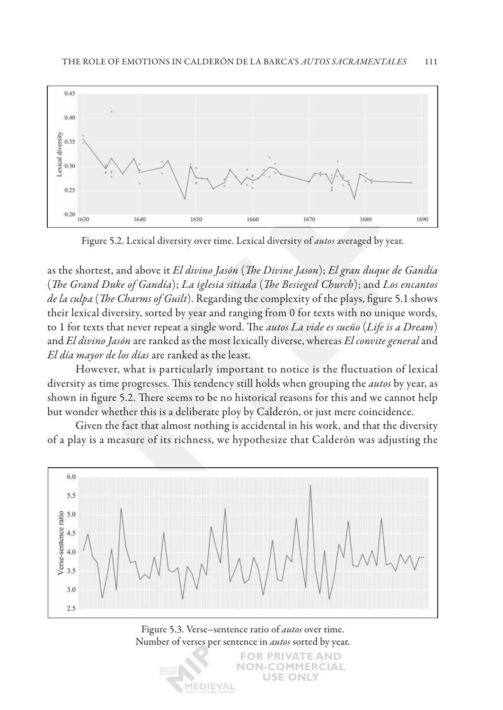

Figure 5.2. Lexical diversity over time. Lexical diversity of *autos* averaged by year.

as the shortest, and above it *El divino Jasón* (*The Divine Jason*); *El gran duque de Gandía* (*The Grand Duke of Gandía*); *La iglesia sitiada* (*The Besieged Church*); and *Los encantos de la culpa* (*The Charms of Guilt*). Regarding the complexity of the plays, figure 5.1 shows their lexical diversity, sorted by year and ranging from 0 for texts with no unique words, to 1 for texts that never repeat a single word. The *autos La vide es sueño* (*Life is a Dream*) and *El divino Jasón* are ranked as the most lexically diverse, whereas *El convite general* and *El día mayor de los días* are ranked as the least.

However, what is particularly important to notice is the fluctuation of lexical diversity as time progresses. This tendency still holds when grouping the *autos* by year, as shown in figure 5.2. There seems to be no historical reasons for this and we cannot help but wonder whether this is a deliberate ploy by Calderón, or just mere coincidence.

Given the fact that almost nothing is accidental in his work, and that the diversity of a play is a measure of its richness, we hypothesize that Calderón was adjusting the



Figure 5.3. Verse–sentence ratio of *autos* over time. Number of verses per sentence in *autos* sorted by year.

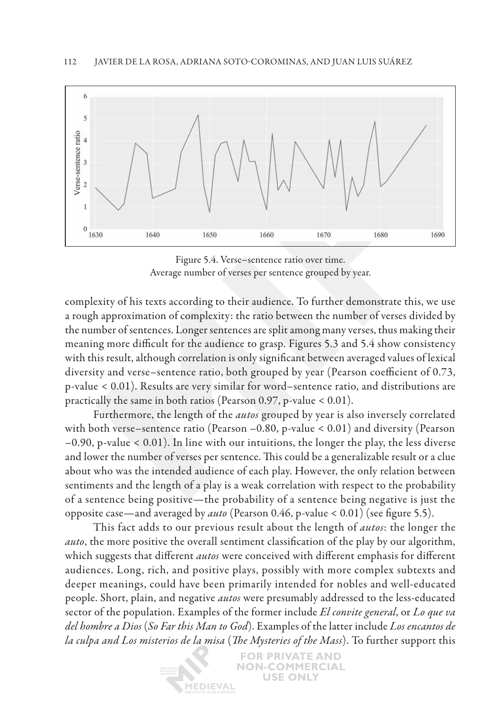

Figure 5.4. Verse–sentence ratio over time. Average number of verses per sentence grouped by year.

complexity of his texts according to their audience. To further demonstrate this, we use a rough approximation of complexity: the ratio between the number of verses divided by the number of sentences. Longer sentences are split among many verses, thus making their meaning more difficult for the audience to grasp. Figures 5.3 and 5.4 show consistency with this result, although correlation is only significant between averaged values of lexical diversity and verse–sentence ratio, both grouped by year (Pearson coefficient of 0.73, p-value < 0.01). Results are very similar for word–sentence ratio, and distributions are practically the same in both ratios (Pearson 0.97, p-value < 0.01).

Furthermore, the length of the *autos* grouped by year is also inversely correlated with both verse–sentence ratio (Pearson –0.80, p-value < 0.01) and diversity (Pearson –0.90, p-value < 0.01). In line with our intuitions, the longer the play, the less diverse and lower the number of verses per sentence. This could be a generalizable result or a clue about who was the intended audience of each play. However, the only relation between sentiments and the length of a play is a weak correlation with respect to the probability of a sentence being positive—the probability of a sentence being negative is just the opposite case—and averaged by *auto* (Pearson 0.46, p-value < 0.01) (see figure 5.5).

This fact adds to our previous result about the length of *autos*: the longer the *auto*, the more positive the overall sentiment classification of the play by our algorithm, which suggests that different *autos* were conceived with different emphasis for different audiences. Long, rich, and positive plays, possibly with more complex subtexts and deeper meanings, could have been primarily intended for nobles and well-educated people. Short, plain, and negative *autos* were presumably addressed to the less-educated sector of the population. Examples of the former include *El convite general*, or *Lo que va del hombre a Dios* (*So Far this Man to God*). Examples of the latter include *Los encantos de la culpa and Los misterios de la misa* (*The Mysteries of the Mass*). To further support this

> **FOR PRIVATE AND NON-COMMERCIAL USE ONLY** *IEDIEVAL*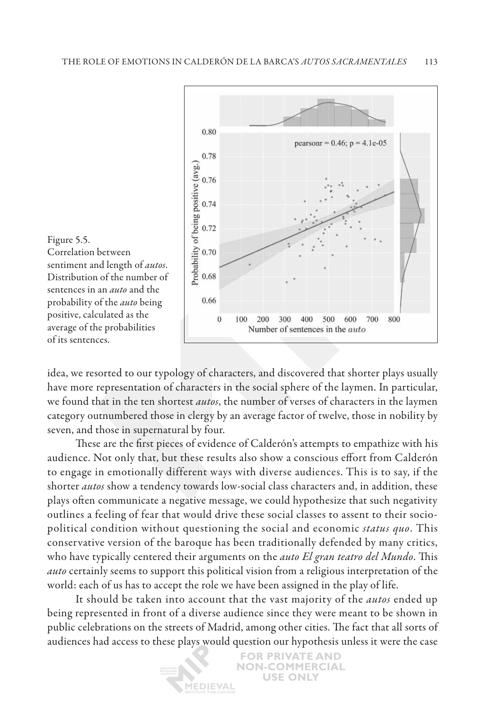

idea, we resorted to our typology of characters, and discovered that shorter plays usually have more representation of characters in the social sphere of the laymen. In particular, we found that in the ten shortest *autos*, the number of verses of characters in the laymen category outnumbered those in clergy by an average factor of twelve, those in nobility by seven, and those in supernatural by four.

These are the first pieces of evidence of Calderón's attempts to empathize with his audience. Not only that, but these results also show a conscious effort from Calderón to engage in emotionally different ways with diverse audiences. This is to say, if the shorter *autos* show a tendency towards low-social class characters and, in addition, these plays often communicate a negative message, we could hypothesize that such negativity outlines a feeling of fear that would drive these social classes to assent to their sociopolitical condition without questioning the social and economic *status quo*. This conservative version of the baroque has been traditionally defended by many critics, who have typically centered their arguments on the *auto El gran teatro del Mundo*. This *auto* certainly seems to support this political vision from a religious interpretation of the world: each of us has to accept the role we have been assigned in the play of life.

It should be taken into account that the vast majority of the *autos* ended up being represented in front of a diverse audience since they were meant to be shown in public celebrations on the streets of Madrid, among other cities. The fact that all sorts of audiences had access to these plays would question our hypothesis unless it were the case

> **FOR PRIVATE AND NON-COMMERCIAL USE ONLY IEDIEVAL**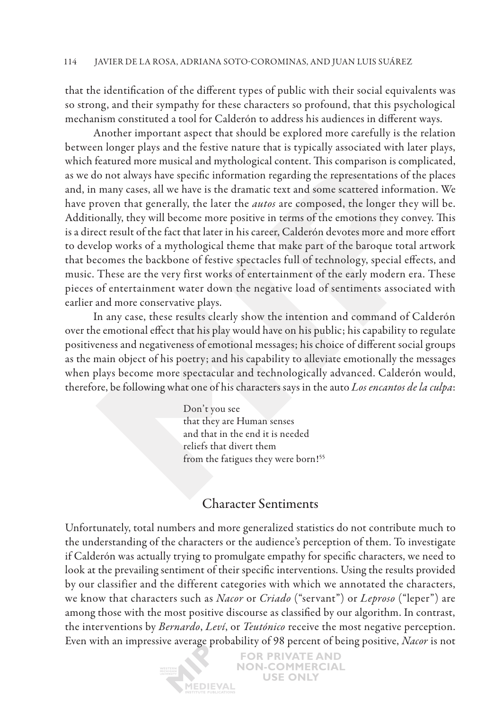that the identification of the different types of public with their social equivalents was so strong, and their sympathy for these characters so profound, that this psychological mechanism constituted a tool for Calderón to address his audiences in different ways.

Another important aspect that should be explored more carefully is the relation between longer plays and the festive nature that is typically associated with later plays, which featured more musical and mythological content. This comparison is complicated, as we do not always have specific information regarding the representations of the places and, in many cases, all we have is the dramatic text and some scattered information. We have proven that generally, the later the *autos* are composed, the longer they will be. Additionally, they will become more positive in terms of the emotions they convey. This is a direct result of the fact that later in his career, Calderón devotes more and more effort to develop works of a mythological theme that make part of the baroque total artwork that becomes the backbone of festive spectacles full of technology, special effects, and music. These are the very first works of entertainment of the early modern era. These pieces of entertainment water down the negative load of sentiments associated with earlier and more conservative plays.

In any case, these results clearly show the intention and command of Calderón over the emotional effect that his play would have on his public; his capability to regulate positiveness and negativeness of emotional messages; his choice of different social groups as the main object of his poetry; and his capability to alleviate emotionally the messages when plays become more spectacular and technologically advanced. Calderón would, therefore, be following what one of his characters says in the auto *Los encantos de la culpa*:

> Don't you see that they are Human senses and that in the end it is needed reliefs that divert them from the fatigues they were born!<sup>55</sup>

## Character Sentiments

Unfortunately, total numbers and more generalized statistics do not contribute much to the understanding of the characters or the audience's perception of them. To investigate if Calderón was actually trying to promulgate empathy for specific characters, we need to look at the prevailing sentiment of their specific interventions. Using the results provided by our classifier and the different categories with which we annotated the characters, we know that characters such as *Nacor* or *Criado* ("servant") or *Leproso* ("leper") are among those with the most positive discourse as classified by our algorithm. In contrast, the interventions by *Bernardo*, *Leví*, or *Teutónico* receive the most negative perception. Even with an impressive average probability of 98 percent of being positive, *Nacor* is not

**İEDIEVAL** 

**FOR PRIVATE AND NON-COMMERCIAL USE ONLY**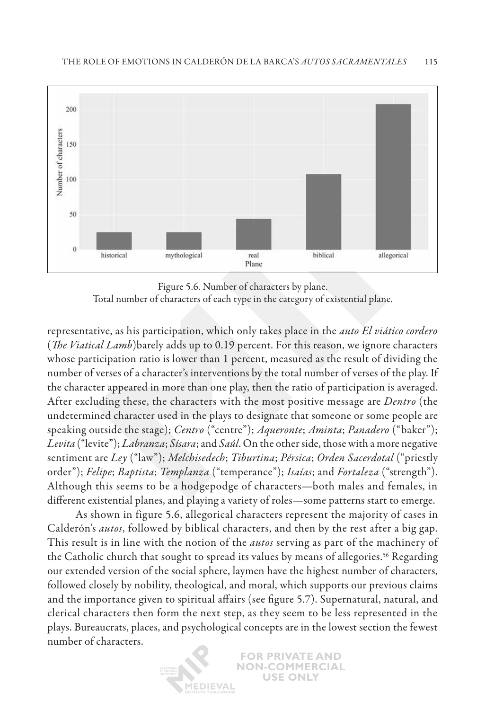

Figure 5.6. Number of characters by plane.

Total number of characters of each type in the category of existential plane.

representative, as his participation, which only takes place in the *auto El viático cordero* (*The Viatical Lamb*)barely adds up to 0.19 percent. For this reason, we ignore characters whose participation ratio is lower than 1 percent, measured as the result of dividing the number of verses of a character's interventions by the total number of verses of the play. If the character appeared in more than one play, then the ratio of participation is averaged. After excluding these, the characters with the most positive message are *Dentro* (the undetermined character used in the plays to designate that someone or some people are speaking outside the stage); *Centro* ("centre"); *Aqueronte*; *Aminta*; *Panadero* ("baker"); *Levita* ("levite"); *Labranza*; *Sísara*; and *Saúl*. On the other side, those with a more negative sentiment are *Ley* ("law"); *Melchisedech*; *Tiburtina*; *Pérsica*; *Orden Sacerdotal* ("priestly order"); *Felipe*; *Baptista*; *Templanza* ("temperance"); *Isaías*; and *Fortaleza* ("strength"). Although this seems to be a hodgepodge of characters—both males and females, in different existential planes, and playing a variety of roles—some patterns start to emerge.

As shown in figure 5.6, allegorical characters represent the majority of cases in Calderón's *autos*, followed by biblical characters, and then by the rest after a big gap. This result is in line with the notion of the *autos* serving as part of the machinery of the Catholic church that sought to spread its values by means of allegories.<sup>56</sup> Regarding our extended version of the social sphere, laymen have the highest number of characters, followed closely by nobility, theological, and moral, which supports our previous claims and the importance given to spiritual affairs (see figure 5.7). Supernatural, natural, and clerical characters then form the next step, as they seem to be less represented in the plays. Bureaucrats, places, and psychological concepts are in the lowest section the fewest number of characters.

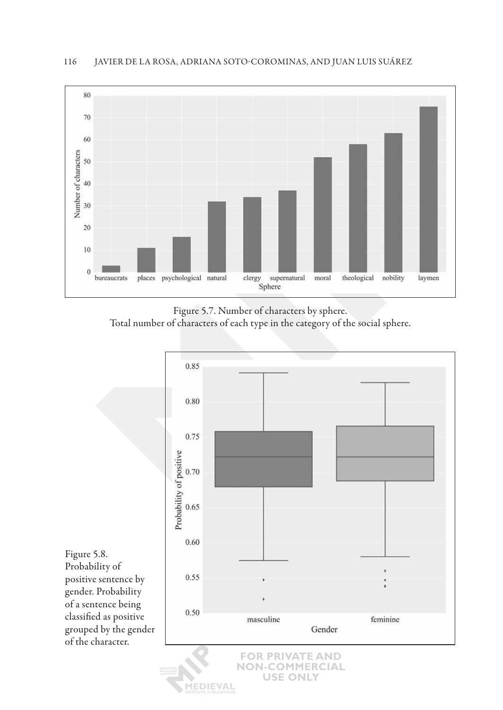

Figure 5.7. Number of characters by sphere. Total number of characters of each type in the category of the social sphere.



Figure 5.8. Probability of positive sentence by gender. Probability of a sentence being classified as positive grouped by the gender of the character.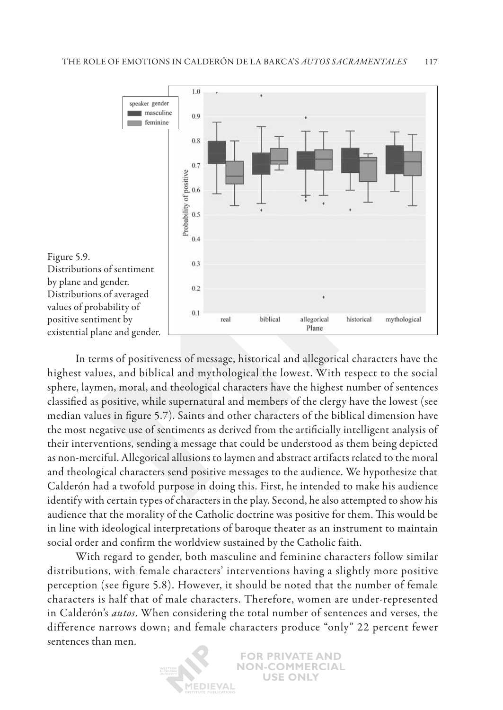

In terms of positiveness of message, historical and allegorical characters have the highest values, and biblical and mythological the lowest. With respect to the social sphere, laymen, moral, and theological characters have the highest number of sentences classified as positive, while supernatural and members of the clergy have the lowest (see median values in figure 5.7). Saints and other characters of the biblical dimension have the most negative use of sentiments as derived from the artificially intelligent analysis of their interventions, sending a message that could be understood as them being depicted as non-merciful. Allegorical allusions to laymen and abstract artifacts related to the moral and theological characters send positive messages to the audience. We hypothesize that Calderón had a twofold purpose in doing this. First, he intended to make his audience identify with certain types of characters in the play. Second, he also attempted to show his audience that the morality of the Catholic doctrine was positive for them. This would be in line with ideological interpretations of baroque theater as an instrument to maintain social order and confirm the worldview sustained by the Catholic faith.

With regard to gender, both masculine and feminine characters follow similar distributions, with female characters' interventions having a slightly more positive perception (see figure 5.8). However, it should be noted that the number of female characters is half that of male characters. Therefore, women are under-represented in Calderón's *autos*. When considering the total number of sentences and verses, the difference narrows down; and female characters produce "only" 22 percent fewer sentences than men.

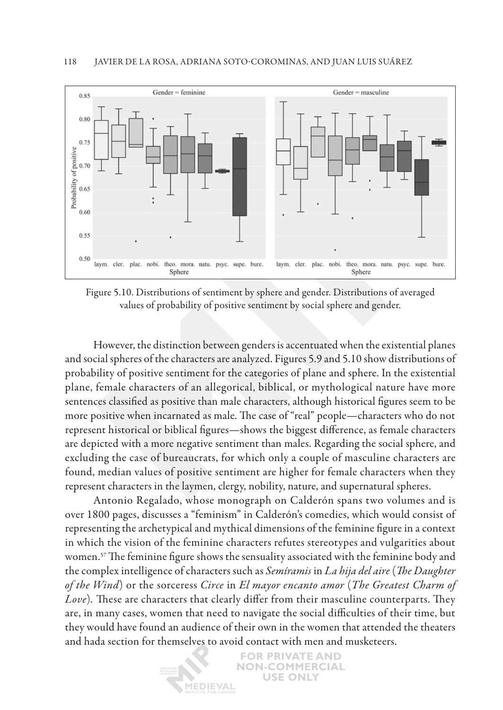

Figure 5.10. Distributions of sentiment by sphere and gender. Distributions of averaged values of probability of positive sentiment by social sphere and gender.

However, the distinction between genders is accentuated when the existential planes and social spheres of the characters are analyzed. Figures 5.9 and 5.10 show distributions of probability of positive sentiment for the categories of plane and sphere. In the existential plane, female characters of an allegorical, biblical, or mythological nature have more sentences classified as positive than male characters, although historical figures seem to be more positive when incarnated as male. The case of "real" people—characters who do not represent historical or biblical figures—shows the biggest difference, as female characters are depicted with a more negative sentiment than males. Regarding the social sphere, and excluding the case of bureaucrats, for which only a couple of masculine characters are found, median values of positive sentiment are higher for female characters when they represent characters in the laymen, clergy, nobility, nature, and supernatural spheres.

Antonio Regalado, whose monograph on Calderón spans two volumes and is over 1800 pages, discusses a "feminism" in Calderón's comedies, which would consist of representing the archetypical and mythical dimensions of the feminine figure in a context in which the vision of the feminine characters refutes stereotypes and vulgarities about women.<sup>57</sup> The feminine figure shows the sensuality associated with the feminine body and the complex intelligence of characters such as *Semíramis* in *La hija del aire* (*The Daughter of the Wind*) or the sorceress *Circe* in *El mayor encanto amor* (*The Greatest Charm of Love*)*.* These are characters that clearly differ from their masculine counterparts. They are, in many cases, women that need to navigate the social difficulties of their time, but they would have found an audience of their own in the women that attended the theaters and hada section for themselves to avoid contact with men and musketeers.

> **FOR PRIVATE AND NON-COMMERCIAL USE ONLY IEDIEVAL**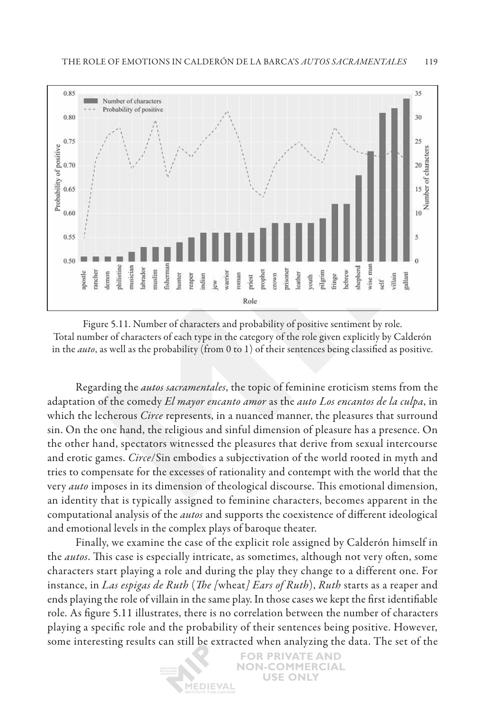

Figure 5.11. Number of characters and probability of positive sentiment by role. Total number of characters of each type in the category of the role given explicitly by Calderón in the *auto*, as well as the probability (from 0 to 1) of their sentences being classified as positive.

Regarding the *autos sacramentales*, the topic of feminine eroticism stems from the adaptation of the comedy *El mayor encanto amor* as the *auto Los encantos de la culpa*, in which the lecherous *Circe* represents, in a nuanced manner, the pleasures that surround sin. On the one hand, the religious and sinful dimension of pleasure has a presence. On the other hand, spectators witnessed the pleasures that derive from sexual intercourse and erotic games. *Circe*/Sin embodies a subjectivation of the world rooted in myth and tries to compensate for the excesses of rationality and contempt with the world that the very *auto* imposes in its dimension of theological discourse. This emotional dimension, an identity that is typically assigned to feminine characters, becomes apparent in the computational analysis of the *autos* and supports the coexistence of different ideological and emotional levels in the complex plays of baroque theater.

Finally, we examine the case of the explicit role assigned by Calderón himself in the *autos*. This case is especially intricate, as sometimes, although not very often, some characters start playing a role and during the play they change to a different one. For instance, in *Las espigas de Ruth* (*The [*wheat*] Ears of Ruth*), *Ruth* starts as a reaper and ends playing the role of villain in the same play. In those cases we kept the first identifiable role. As figure 5.11 illustrates, there is no correlation between the number of characters playing a specific role and the probability of their sentences being positive. However, some interesting results can still be extracted when analyzing the data. The set of the

> **FOR PRIVATE AND NON-COMMERCIAL USE ONLY** *IEDIEVAL*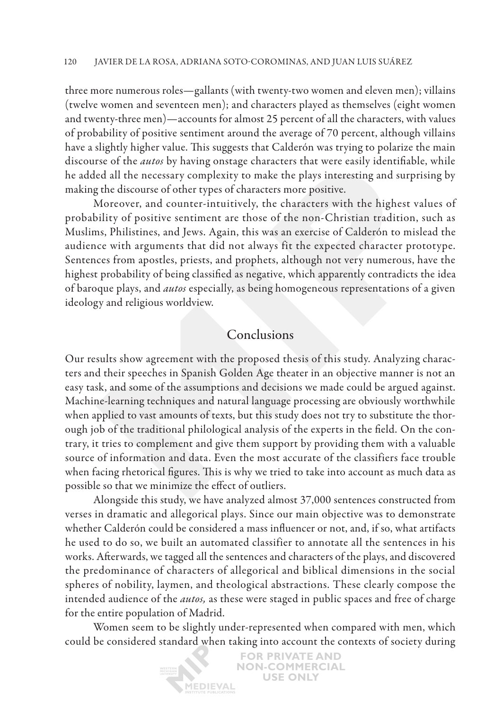three more numerous roles—gallants (with twenty-two women and eleven men); villains (twelve women and seventeen men); and characters played as themselves (eight women and twenty-three men)—accounts for almost 25 percent of all the characters, with values of probability of positive sentiment around the average of 70 percent, although villains have a slightly higher value. This suggests that Calderón was trying to polarize the main discourse of the *autos* by having onstage characters that were easily identifiable, while he added all the necessary complexity to make the plays interesting and surprising by making the discourse of other types of characters more positive.

Moreover, and counter-intuitively, the characters with the highest values of probability of positive sentiment are those of the non-Christian tradition, such as Muslims, Philistines, and Jews. Again, this was an exercise of Calderón to mislead the audience with arguments that did not always fit the expected character prototype. Sentences from apostles, priests, and prophets, although not very numerous, have the highest probability of being classified as negative, which apparently contradicts the idea of baroque plays, and *autos* especially, as being homogeneous representations of a given ideology and religious worldview.

### Conclusions

Our results show agreement with the proposed thesis of this study. Analyzing characters and their speeches in Spanish Golden Age theater in an objective manner is not an easy task, and some of the assumptions and decisions we made could be argued against. Machine-learning techniques and natural language processing are obviously worthwhile when applied to vast amounts of texts, but this study does not try to substitute the thorough job of the traditional philological analysis of the experts in the field. On the contrary, it tries to complement and give them support by providing them with a valuable source of information and data. Even the most accurate of the classifiers face trouble when facing rhetorical figures. This is why we tried to take into account as much data as possible so that we minimize the effect of outliers.

Alongside this study, we have analyzed almost 37,000 sentences constructed from verses in dramatic and allegorical plays. Since our main objective was to demonstrate whether Calderón could be considered a mass influencer or not, and, if so, what artifacts he used to do so, we built an automated classifier to annotate all the sentences in his works. Afterwards, we tagged all the sentences and characters of the plays, and discovered the predominance of characters of allegorical and biblical dimensions in the social spheres of nobility, laymen, and theological abstractions. These clearly compose the intended audience of the *autos,* as these were staged in public spaces and free of charge for the entire population of Madrid.

Women seem to be slightly under-represented when compared with men, which could be considered standard when taking into account the contexts of society during

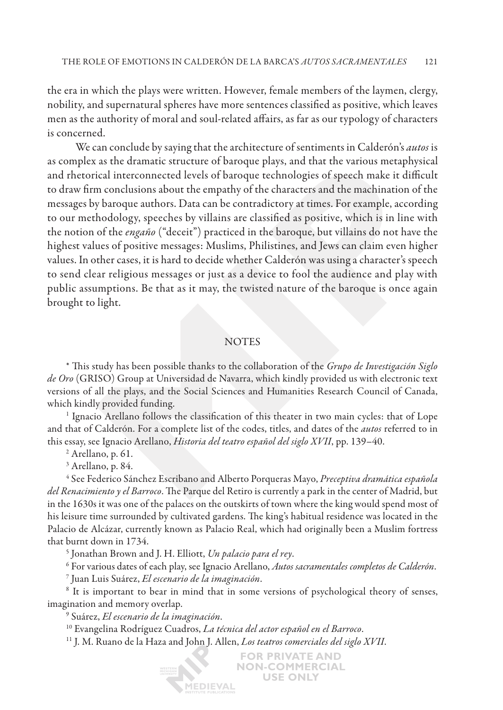the era in which the plays were written. However, female members of the laymen, clergy, nobility, and supernatural spheres have more sentences classified as positive, which leaves men as the authority of moral and soul-related affairs, as far as our typology of characters is concerned.

We can conclude by saying that the architecture of sentiments in Calderón's *autos* is as complex as the dramatic structure of baroque plays, and that the various metaphysical and rhetorical interconnected levels of baroque technologies of speech make it difficult to draw firm conclusions about the empathy of the characters and the machination of the messages by baroque authors. Data can be contradictory at times. For example, according to our methodology, speeches by villains are classified as positive, which is in line with the notion of the *engaño* ("deceit") practiced in the baroque, but villains do not have the highest values of positive messages: Muslims, Philistines, and Jews can claim even higher values. In other cases, it is hard to decide whether Calderón was using a character's speech to send clear religious messages or just as a device to fool the audience and play with public assumptions. Be that as it may, the twisted nature of the baroque is once again brought to light.

### **NOTES**

\* This study has been possible thanks to the collaboration of the *Grupo de Investigación Siglo de Oro* (GRISO) Group at Universidad de Navarra, which kindly provided us with electronic text versions of all the plays, and the Social Sciences and Humanities Research Council of Canada, which kindly provided funding.

 $^1$  Ignacio Arellano follows the classification of this theater in two main cycles: that of Lope and that of Calderón. For a complete list of the codes, titles, and dates of the *autos* referred to in this essay, see Ignacio Arellano, *Historia del teatro español del siglo XVII*, pp. 139–40. 2

<sup>2</sup> Arellano, p. 61.

3 Arellano, p. 84.

4 See Federico Sánchez Escribano and Alberto Porqueras Mayo, *Preceptiva dramática española del Renacimiento y el Barroco*. The Parque del Retiro is currently a park in the center of Madrid, but in the 1630s it was one of the palaces on the outskirts of town where the king would spend most of his leisure time surrounded by cultivated gardens. The king's habitual residence was located in the Palacio de Alcázar, currently known as Palacio Real, which had originally been a Muslim fortress that burnt down in 1734.

<sup>5</sup> Jonathan Brown and J. H. Elliott, Un palacio para el rey.

For various dates of each play, see Ignacio Arellano, *Autos sacramentales completos de Calderón*. 7

Juan Luis Suárez, *El escenario de la imaginación*. 8

<sup>8</sup> It is important to bear in mind that in some versions of psychological theory of senses, imagination and memory overlap.

9 Suárez, *El escenario de la imaginación*.

10 Evangelina Rodríguez Cuadros, *La técnica del actor español en el Barroco*. 11 J. M. Ruano de la Haza and John J. Allen, *Los teatros comerciales del siglo XVII*.

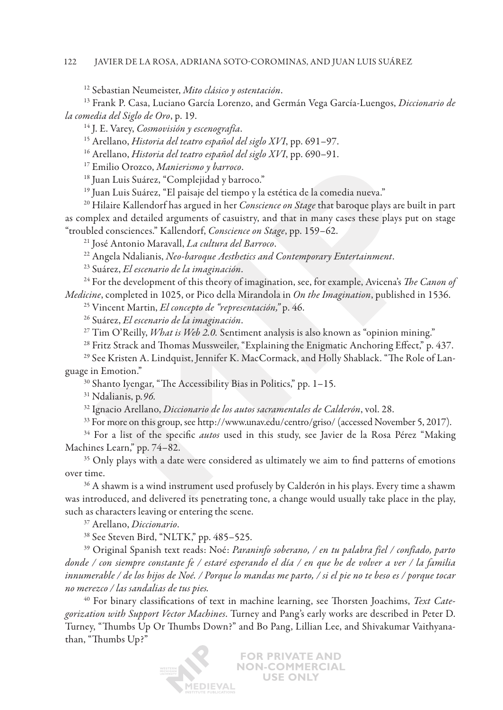#### 122 Javier de la Rosa, Adriana Soto-Corominas , and Juan Luis Suárez

12 Sebastian Neumeister, *Mito clásico y ostentación*.

13 Frank P. Casa, Luciano García Lorenzo, and Germán Vega García-Luengos, *Diccionario de la comedia del Siglo de Oro*, p. 19.

14 J. E. Varey, *Cosmovisión y escenografía*.

15 Arellano, *Historia del teatro español del siglo XVI*, pp. 691–97.

16 Arellano, *Historia del teatro español del siglo XVI*, pp. 690–91.

17 Emilio Orozco, *Manierismo y barroco*.

<sup>18</sup> Juan Luis Suárez, "Complejidad y barroco."

<sup>19</sup> Juan Luis Suárez, "El paisaje del tiempo y la estética de la comedia nueva."

20 Hilaire Kallendorf has argued in her *Conscience on Stage* that baroque plays are built in part as complex and detailed arguments of casuistry, and that in many cases these plays put on stage "troubled consciences." Kallendorf, *Conscience on Stage*, pp. 159–62.

21 José Antonio Maravall, *La cultura del Barroco*. 22 Angela Ndalianis, *Neo-baroque Aesthetics and Contemporary Entertainment*.

<sup>23</sup> Suárez, *El escenario de la imaginación*.<br><sup>24</sup> For the development of this theory of imagination, see, for example, Avicena's *The Canon of Medicine*, completed in 1025, or Pico della Mirandola in *On the Imagination*, published in 1536.<br><sup>25</sup> Vincent Martin, *El concepto de "representación*," p. 46.<br><sup>26</sup> Suárez, *El escenario de la imaginación*.

<sup>27</sup> Tim O'Reilly, *What is Web 2.0.* Sentiment analysis is also known as "opinion mining."

 $^{28}$  Fritz Strack and Thomas Mussweiler, "Explaining the Enigmatic Anchoring Effect," p. 437.

29 See Kristen A. Lindquist, Jennifer K. MacCormack, and Holly Shablack. "The Role of Language in Emotion."

30 Shanto Iyengar, "The Accessibility Bias in Politics," pp. 1–15.

31 Ndalianis, p*.96.*

<sup>32</sup> Ignacio Arellano, *Diccionario de los autos sacramentales de Calderón*, vol. 28.<br><sup>33</sup> For more on this group, see http://www.unav.edu/centro/griso/ (accessed November 5, 2017).

34 For a list of the specific *autos* used in this study, see Javier de la Rosa Pérez "Making Machines Learn," pp. 74–82.

<sup>35</sup> Only plays with a date were considered as ultimately we aim to find patterns of emotions over time. 36 A shawm is a wind instrument used profusely by Calderón in his plays. Every time a shawm

was introduced, and delivered its penetrating tone, a change would usually take place in the play, such as characters leaving or entering the scene.<br><sup>37</sup> Arellano, *Diccionario*.<br><sup>38</sup> See Steven Bird, "NLTK," pp. 485–525.<br><sup>39</sup> Original Spanish text reads: Noé: *Paraninfo soberano, / en tu palabra fiel / confiado, parto* 

*donde / con siempre constante fe / estaré esperando el día / en que he de volver a ver / la familia innumerable / de los hijos de Noé. / Porque lo mandas me parto, / si el pie no te beso es / porque tocar no merezco / las sandalias de tus pies.*

40 For binary classifications of text in machine learning, see Thorsten Joachims, *Text Categorization with Support Vector Machines*. Turney and Pang's early works are described in Peter D. Turney, "Thumbs Up Or Thumbs Down?" and Bo Pang, Lillian Lee, and Shivakumar Vaithyanathan, "Thumbs Up?"

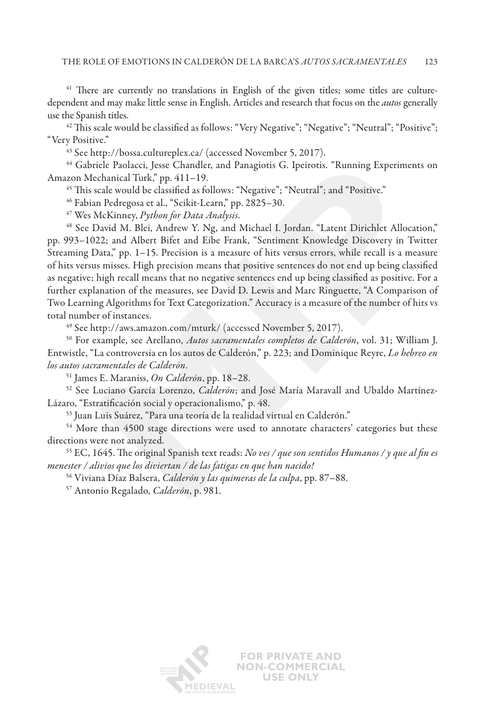<sup>41</sup> There are currently no translations in English of the given titles; some titles are culturedependent and may make little sense in English. Articles and research that focus on the *autos* generally use the Spanish titles.<br><sup>42</sup> This scale would be classified as follows: "Very Negative"; "Negative"; "Neutral"; "Positive";

"Very Positive."

43 See http://bossa.cultureplex.ca/ (accessed November 5, 2017).

44 Gabriele Paolacci, Jesse Chandler, and Panagiotis G. Ipeirotis. "Running Experiments on Amazon Mechanical Turk," pp. 411–19.

<sup>45</sup> This scale would be classified as follows: "Negative"; "Neutral"; and "Positive."

46 Fabian Pedregosa et al., "Scikit-Learn," pp. 2825–30.

47 Wes McKinney, *Python for Data Analysis*.

48 See David M. Blei, Andrew Y. Ng, and Michael I. Jordan. "Latent Dirichlet Allocation," pp. 993–1022; and Albert Bifet and Eibe Frank, "Sentiment Knowledge Discovery in Twitter Streaming Data," pp. 1–15. Precision is a measure of hits versus errors, while recall is a measure of hits versus misses. High precision means that positive sentences do not end up being classified as negative; high recall means that no negative sentences end up being classified as positive. For a further explanation of the measures, see David D. Lewis and Marc Ringuette, "A Comparison of Two Learning Algorithms for Text Categorization." Accuracy is a measure of the number of hits vs total number of instances.

49 See http://aws.amazon.com/mturk/ (accessed November 5, 2017).

50 For example, see Arellano, *Autos sacramentales completos de Calderón*, vol. 31; William J. Entwistle, "La controversia en los autos de Calderón," p. 223; and Dominique Reyre, *Lo hebreo en los autos sacramentales de Calderón*. 51 James E. Maraniss, *On Calderón*, pp. 18–28. 52 See Luciano García Lorenzo, *Calderón*; and José María Maravall and Ubaldo Martínez-

Lázaro, "Estratificación social y operacionalismo," p. 48.

53 Juan Luis Suárez, "Para una teoría de la realidad virtual en Calderón."

<sup>54</sup> More than 4500 stage directions were used to annotate characters' categories but these directions were not analyzed. 55 EC, 1645. The original Spanish text reads: *No ves / que son sentidos Humanos / y que al fin es* 

*menester / alivios que los diviertan / de las fatigas en que han nacido!*

<sup>56</sup> Viviana Díaz Balsera, *Calderón y las quimeras de la culpa*, pp. 87–88.

57 Antonio Regalado, *Calderón*, p. 981.

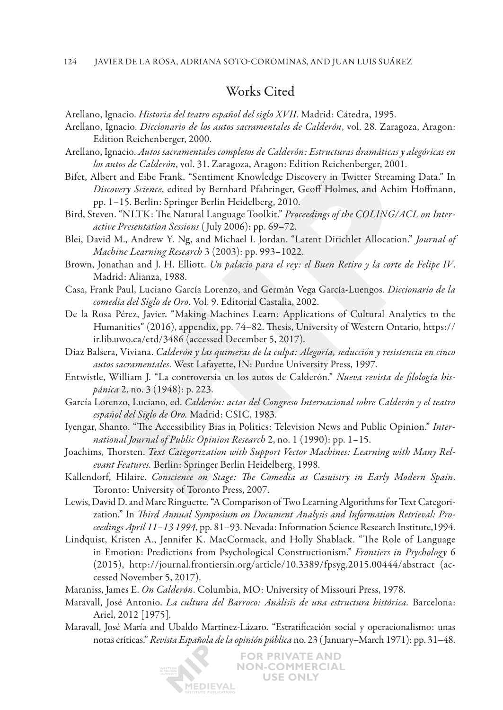#### 124 Javier de la Rosa, Adriana Soto-Corominas , and Juan Luis Suárez

## Works Cited

Arellano, Ignacio. *Historia del teatro español del siglo XVII*. Madrid: Cátedra, 1995.

- Arellano, Ignacio. *Diccionario de los autos sacramentales de Calderón*, vol. 28. Zaragoza, Aragon: Edition Reichenberger, 2000.
- Arellano, Ignacio. *Autos sacramentales completos de Calderón: Estructuras dramáticas y alegóricas en los autos de Calderón*, vol. 31. Zaragoza, Aragon: Edition Reichenberger, 2001.
- Bifet, Albert and Eibe Frank. "Sentiment Knowledge Discovery in Twitter Streaming Data." In *Discovery Science*, edited by Bernhard Pfahringer, Geoff Holmes, and Achim Hoffmann, pp. 1–15. Berlin: Springer Berlin Heidelberg, 2010.
- Bird, Steven. "NLTK: The Natural Language Toolkit." *Proceedings of the COLING/ACL on Interactive Presentation Sessions* ( July 2006): pp. 69–72.
- Blei, David M., Andrew Y. Ng, and Michael I. Jordan. "Latent Dirichlet Allocation." *Journal of Machine Learning Research* 3 (2003): pp. 993–1022.
- Brown, Jonathan and J. H. Elliott. *Un palacio para el rey: el Buen Retiro y la corte de Felipe IV*. Madrid: Alianza, 1988.
- Casa, Frank Paul, Luciano García Lorenzo, and Germán Vega García-Luengos. *Diccionario de la comedia del Siglo de Oro*. Vol. 9. Editorial Castalia, 2002.
- De la Rosa Pérez, Javier. "Making Machines Learn: Applications of Cultural Analytics to the Humanities" (2016), appendix, pp. 74–82. Thesis, University of Western Ontario, https:// ir.lib.uwo.ca/etd/3486 (accessed December 5, 2017).
- Díaz Balsera, Viviana. *Calderón y las quimeras de la culpa: Alegoría, seducción y resistencia en cinco autos sacramentales*. West Lafayette, IN: Purdue University Press, 1997.
- Entwistle, William J. "La controversia en los autos de Calderón." *Nueva revista de filología hispánica* 2, no. 3 (1948): p. 223.
- García Lorenzo, Luciano, ed. *Calderón: actas del Congreso Internacional sobre Calderón y el teatro español del Siglo de Oro.* Madrid: CSIC, 1983.
- Iyengar, Shanto. "The Accessibility Bias in Politics: Television News and Public Opinion." *International Journal of Public Opinion Research* 2, no. 1 (1990): pp. 1–15.
- Joachims, Thorsten. *Text Categorization with Support Vector Machines: Learning with Many Relevant Features.* Berlin: Springer Berlin Heidelberg, 1998.
- Kallendorf, Hilaire. *Conscience on Stage: The Comedia as Casuistry in Early Modern Spain*. Toronto: University of Toronto Press, 2007.
- Lewis, David D. and Marc Ringuette. "A Comparison of Two Learning Algorithms for Text Categorization." In *Third Annual Symposium on Document Analysis and Information Retrieval: Proceedings April 11–13 1994*, pp. 81–93. Nevada: Information Science Research Institute,1994.
- Lindquist, Kristen A., Jennifer K. MacCormack, and Holly Shablack. "The Role of Language in Emotion: Predictions from Psychological Constructionism." *Frontiers in Psychology* 6 (2015), http://journal.frontiersin.org/article/10.3389/fpsyg.2015.00444/abstract (accessed November 5, 2017).
- Maraniss, James E. *On Calderón*. Columbia, MO: University of Missouri Press, 1978.
- Maravall, José Antonio. *La cultura del Barroco: Anàlisis de una estructura histórica.* Barcelona: Ariel, 2012 [1975].
- Maravall, José María and Ubaldo Martínez-Lázaro. "Estratificación social y operacionalismo: unas notas críticas." *Revista Española de la opinión pública* no. 23 ( January–March 1971): pp. 31–48.